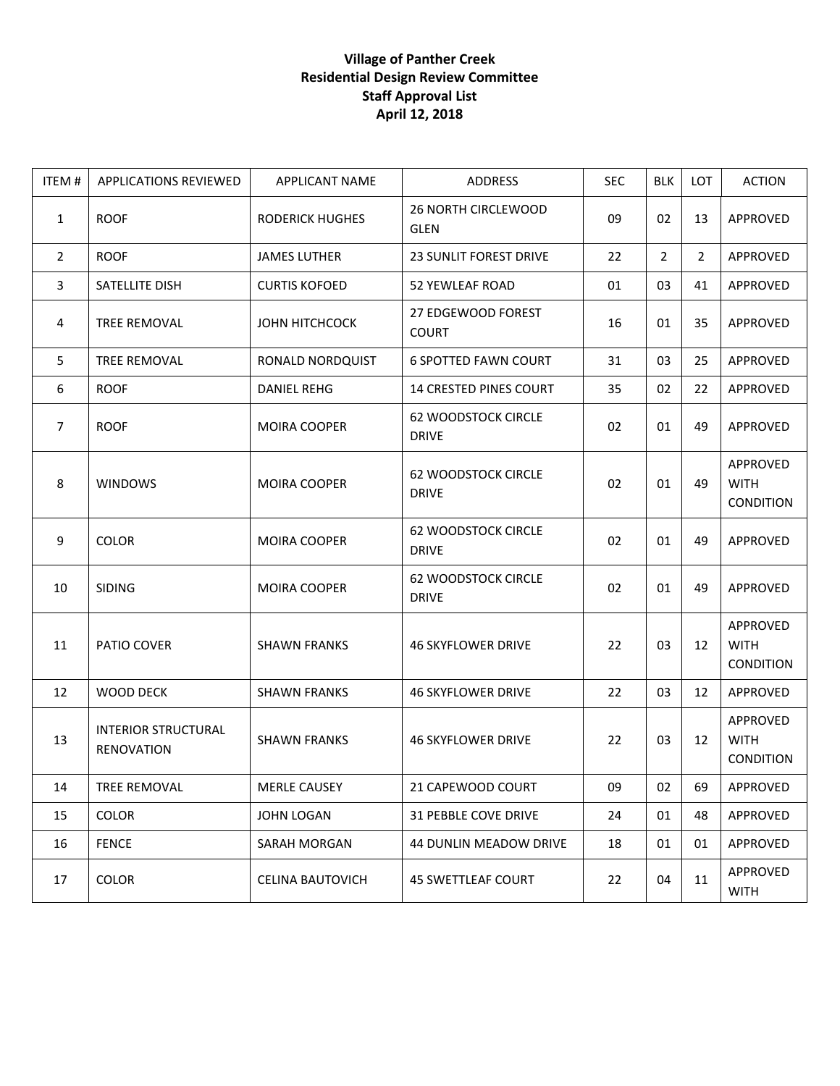| ITEM#          | APPLICATIONS REVIEWED                           | <b>APPLICANT NAME</b>  | ADDRESS                                    | <b>SEC</b> | <b>BLK</b>     | <b>LOT</b>     | <b>ACTION</b>                        |
|----------------|-------------------------------------------------|------------------------|--------------------------------------------|------------|----------------|----------------|--------------------------------------|
| $\mathbf{1}$   | <b>ROOF</b>                                     | <b>RODERICK HUGHES</b> | 26 NORTH CIRCLEWOOD<br><b>GLEN</b>         | 09         | 02             | 13             | APPROVED                             |
| $\overline{2}$ | <b>ROOF</b>                                     | <b>JAMES LUTHER</b>    | 23 SUNLIT FOREST DRIVE                     | 22         | $\overline{2}$ | $\overline{2}$ | APPROVED                             |
| 3              | SATELLITE DISH                                  | <b>CURTIS KOFOED</b>   | 52 YEWLEAF ROAD                            | 01         | 03             | 41             | APPROVED                             |
| 4              | TREE REMOVAL                                    | JOHN HITCHCOCK         | 27 EDGEWOOD FOREST<br><b>COURT</b>         | 16         | 01             | 35             | APPROVED                             |
| 5              | TREE REMOVAL                                    | RONALD NORDQUIST       | <b>6 SPOTTED FAWN COURT</b>                | 31         | 03             | 25             | APPROVED                             |
| 6              | <b>ROOF</b>                                     | <b>DANIEL REHG</b>     | 14 CRESTED PINES COURT                     | 35         | 02             | 22             | APPROVED                             |
| 7              | <b>ROOF</b>                                     | <b>MOIRA COOPER</b>    | <b>62 WOODSTOCK CIRCLE</b><br><b>DRIVE</b> | 02         | 01             | 49             | APPROVED                             |
| 8              | <b>WINDOWS</b>                                  | <b>MOIRA COOPER</b>    | <b>62 WOODSTOCK CIRCLE</b><br><b>DRIVE</b> | 02         | 01             | 49             | APPROVED<br><b>WITH</b><br>CONDITION |
| 9              | <b>COLOR</b>                                    | <b>MOIRA COOPER</b>    | <b>62 WOODSTOCK CIRCLE</b><br><b>DRIVE</b> | 02         | 01             | 49             | APPROVED                             |
| 10             | <b>SIDING</b>                                   | <b>MOIRA COOPER</b>    | <b>62 WOODSTOCK CIRCLE</b><br><b>DRIVE</b> | 02         | 01             | 49             | APPROVED                             |
| 11             | PATIO COVER                                     | <b>SHAWN FRANKS</b>    | <b>46 SKYFLOWER DRIVE</b>                  | 22         | 03             | 12             | APPROVED<br><b>WITH</b><br>CONDITION |
| 12             | <b>WOOD DECK</b>                                | <b>SHAWN FRANKS</b>    | <b>46 SKYFLOWER DRIVE</b>                  | 22         | 03             | 12             | APPROVED                             |
| 13             | <b>INTERIOR STRUCTURAL</b><br><b>RENOVATION</b> | <b>SHAWN FRANKS</b>    | <b>46 SKYFLOWER DRIVE</b>                  | 22         | 03             | 12             | APPROVED<br><b>WITH</b><br>CONDITION |
| 14             | TREE REMOVAL                                    | MERLE CAUSEY           | 21 CAPEWOOD COURT                          | 09         | 02             | 69             | APPROVED                             |
| 15             | <b>COLOR</b>                                    | <b>JOHN LOGAN</b>      | 31 PEBBLE COVE DRIVE                       | 24         | 01             | 48             | APPROVED                             |
| 16             | <b>FENCE</b>                                    | SARAH MORGAN           | 44 DUNLIN MEADOW DRIVE                     | 18         | 01             | 01             | APPROVED                             |
| 17             | <b>COLOR</b>                                    | CELINA BAUTOVICH       | <b>45 SWETTLEAF COURT</b>                  | 22         | 04             | 11             | APPROVED<br><b>WITH</b>              |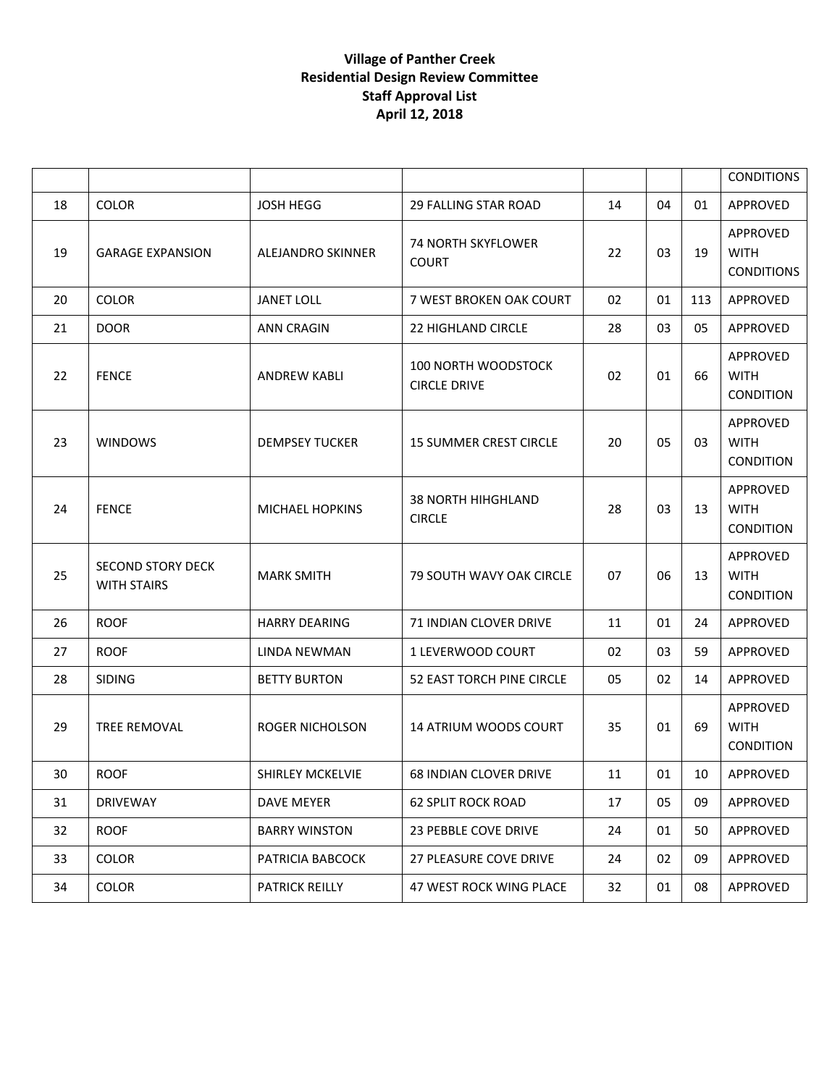|    |                                                |                         |                                                   |    |    |     | <b>CONDITIONS</b>                            |
|----|------------------------------------------------|-------------------------|---------------------------------------------------|----|----|-----|----------------------------------------------|
| 18 | <b>COLOR</b>                                   | JOSH HEGG               | <b>29 FALLING STAR ROAD</b>                       | 14 | 04 | 01  | APPROVED                                     |
| 19 | <b>GARAGE EXPANSION</b>                        | ALEJANDRO SKINNER       | <b>74 NORTH SKYFLOWER</b><br><b>COURT</b>         | 22 | 03 | 19  | APPROVED<br><b>WITH</b><br><b>CONDITIONS</b> |
| 20 | <b>COLOR</b>                                   | <b>JANET LOLL</b>       | 7 WEST BROKEN OAK COURT                           | 02 | 01 | 113 | APPROVED                                     |
| 21 | <b>DOOR</b>                                    | <b>ANN CRAGIN</b>       | <b>22 HIGHLAND CIRCLE</b>                         | 28 | 03 | 05  | APPROVED                                     |
| 22 | <b>FENCE</b>                                   | <b>ANDREW KABLI</b>     | <b>100 NORTH WOODSTOCK</b><br><b>CIRCLE DRIVE</b> | 02 | 01 | 66  | APPROVED<br><b>WITH</b><br>CONDITION         |
| 23 | <b>WINDOWS</b>                                 | <b>DEMPSEY TUCKER</b>   | <b>15 SUMMER CREST CIRCLE</b>                     | 20 | 05 | 03  | APPROVED<br><b>WITH</b><br>CONDITION         |
| 24 | <b>FENCE</b>                                   | <b>MICHAEL HOPKINS</b>  | <b>38 NORTH HIHGHLAND</b><br><b>CIRCLE</b>        | 28 | 03 | 13  | APPROVED<br><b>WITH</b><br>CONDITION         |
| 25 | <b>SECOND STORY DECK</b><br><b>WITH STAIRS</b> | <b>MARK SMITH</b>       | 79 SOUTH WAVY OAK CIRCLE                          | 07 | 06 | 13  | APPROVED<br><b>WITH</b><br><b>CONDITION</b>  |
| 26 | <b>ROOF</b>                                    | <b>HARRY DEARING</b>    | 71 INDIAN CLOVER DRIVE                            | 11 | 01 | 24  | APPROVED                                     |
| 27 | <b>ROOF</b>                                    | LINDA NEWMAN            | 1 LEVERWOOD COURT                                 | 02 | 03 | 59  | APPROVED                                     |
| 28 | <b>SIDING</b>                                  | <b>BETTY BURTON</b>     | 52 EAST TORCH PINE CIRCLE                         | 05 | 02 | 14  | APPROVED                                     |
| 29 | TREE REMOVAL                                   | <b>ROGER NICHOLSON</b>  | <b>14 ATRIUM WOODS COURT</b>                      | 35 | 01 | 69  | APPROVED<br><b>WITH</b><br>CONDITION         |
| 30 | <b>ROOF</b>                                    | <b>SHIRLEY MCKELVIE</b> | <b>68 INDIAN CLOVER DRIVE</b>                     | 11 | 01 | 10  | APPROVED                                     |
| 31 | <b>DRIVEWAY</b>                                | DAVE MEYER              | <b>62 SPLIT ROCK ROAD</b>                         | 17 | 05 | 09  | APPROVED                                     |
| 32 | <b>ROOF</b>                                    | <b>BARRY WINSTON</b>    | <b>23 PEBBLE COVE DRIVE</b>                       | 24 | 01 | 50  | APPROVED                                     |
| 33 | COLOR                                          | PATRICIA BABCOCK        | 27 PLEASURE COVE DRIVE                            | 24 | 02 | 09  | APPROVED                                     |
| 34 | COLOR                                          | PATRICK REILLY          | 47 WEST ROCK WING PLACE                           | 32 | 01 | 08  | APPROVED                                     |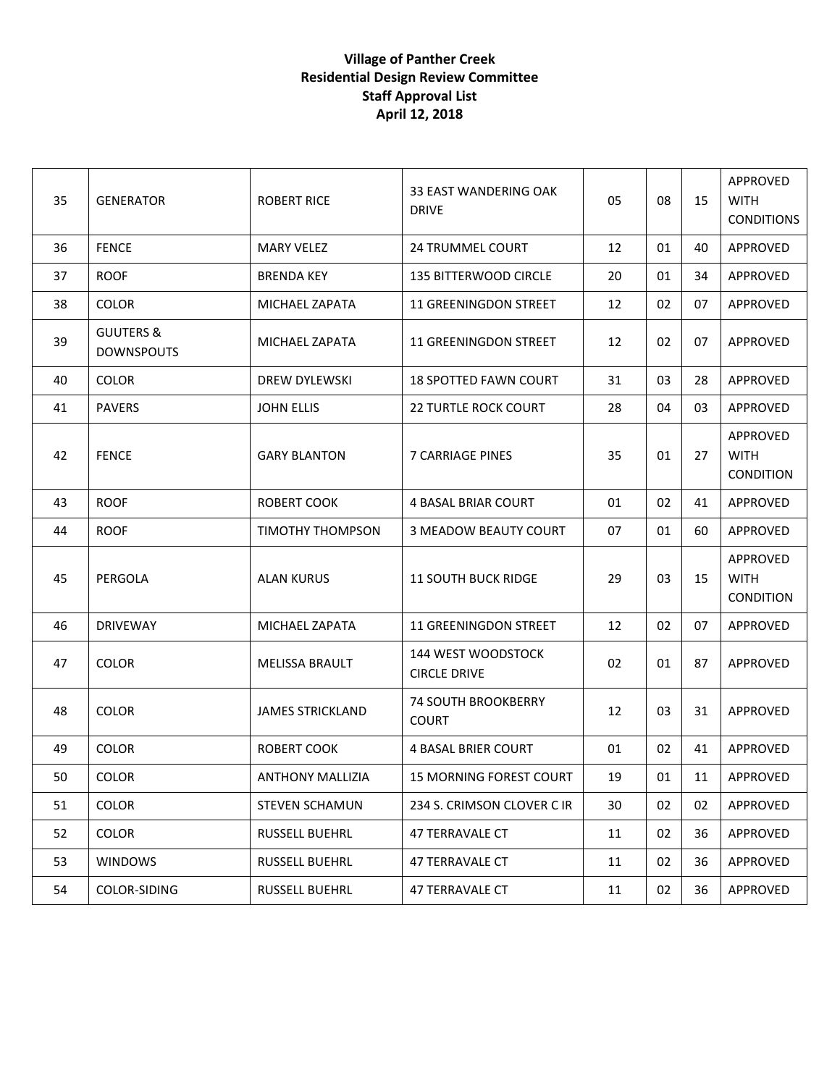| 35 | <b>GENERATOR</b>                          | <b>ROBERT RICE</b>      | 33 EAST WANDERING OAK<br><b>DRIVE</b>      | 05 | 08 | 15 | <b>APPROVED</b><br><b>WITH</b><br><b>CONDITIONS</b> |
|----|-------------------------------------------|-------------------------|--------------------------------------------|----|----|----|-----------------------------------------------------|
| 36 | <b>FENCE</b>                              | <b>MARY VELEZ</b>       | 24 TRUMMEL COURT                           | 12 | 01 | 40 | APPROVED                                            |
| 37 | <b>ROOF</b>                               | <b>BRENDA KEY</b>       | <b>135 BITTERWOOD CIRCLE</b>               | 20 | 01 | 34 | APPROVED                                            |
| 38 | <b>COLOR</b>                              | MICHAEL ZAPATA          | 11 GREENINGDON STREET                      | 12 | 02 | 07 | <b>APPROVED</b>                                     |
| 39 | <b>GUUTERS &amp;</b><br><b>DOWNSPOUTS</b> | MICHAEL ZAPATA          | 11 GREENINGDON STREET                      | 12 | 02 | 07 | <b>APPROVED</b>                                     |
| 40 | <b>COLOR</b>                              | DREW DYLEWSKI           | 18 SPOTTED FAWN COURT                      | 31 | 03 | 28 | APPROVED                                            |
| 41 | <b>PAVERS</b>                             | <b>JOHN ELLIS</b>       | <b>22 TURTLE ROCK COURT</b>                | 28 | 04 | 03 | APPROVED                                            |
| 42 | <b>FENCE</b>                              | <b>GARY BLANTON</b>     | 7 CARRIAGE PINES                           | 35 | 01 | 27 | <b>APPROVED</b><br><b>WITH</b><br><b>CONDITION</b>  |
| 43 | <b>ROOF</b>                               | ROBERT COOK             | <b>4 BASAL BRIAR COURT</b>                 | 01 | 02 | 41 | APPROVED                                            |
| 44 | <b>ROOF</b>                               | TIMOTHY THOMPSON        | <b>3 MEADOW BEAUTY COURT</b>               | 07 | 01 | 60 | APPROVED                                            |
| 45 | PERGOLA                                   | <b>ALAN KURUS</b>       | <b>11 SOUTH BUCK RIDGE</b>                 | 29 | 03 | 15 | <b>APPROVED</b><br><b>WITH</b><br><b>CONDITION</b>  |
| 46 | <b>DRIVEWAY</b>                           | MICHAEL ZAPATA          | 11 GREENINGDON STREET                      | 12 | 02 | 07 | APPROVED                                            |
| 47 | <b>COLOR</b>                              | <b>MELISSA BRAULT</b>   | 144 WEST WOODSTOCK<br><b>CIRCLE DRIVE</b>  | 02 | 01 | 87 | APPROVED                                            |
| 48 | <b>COLOR</b>                              | <b>JAMES STRICKLAND</b> | <b>74 SOUTH BROOKBERRY</b><br><b>COURT</b> | 12 | 03 | 31 | APPROVED                                            |
| 49 | <b>COLOR</b>                              | <b>ROBERT COOK</b>      | <b>4 BASAL BRIER COURT</b>                 | 01 | 02 | 41 | APPROVED                                            |
| 50 | <b>COLOR</b>                              | <b>ANTHONY MALLIZIA</b> | 15 MORNING FOREST COURT                    | 19 | 01 | 11 | APPROVED                                            |
| 51 | COLOR                                     | <b>STEVEN SCHAMUN</b>   | 234 S. CRIMSON CLOVER C IR                 | 30 | 02 | 02 | APPROVED                                            |
| 52 | <b>COLOR</b>                              | <b>RUSSELL BUEHRL</b>   | 47 TERRAVALE CT                            | 11 | 02 | 36 | APPROVED                                            |
| 53 | <b>WINDOWS</b>                            | RUSSELL BUEHRL          | 47 TERRAVALE CT                            | 11 | 02 | 36 | APPROVED                                            |
| 54 | COLOR-SIDING                              | RUSSELL BUEHRL          | 47 TERRAVALE CT                            | 11 | 02 | 36 | APPROVED                                            |